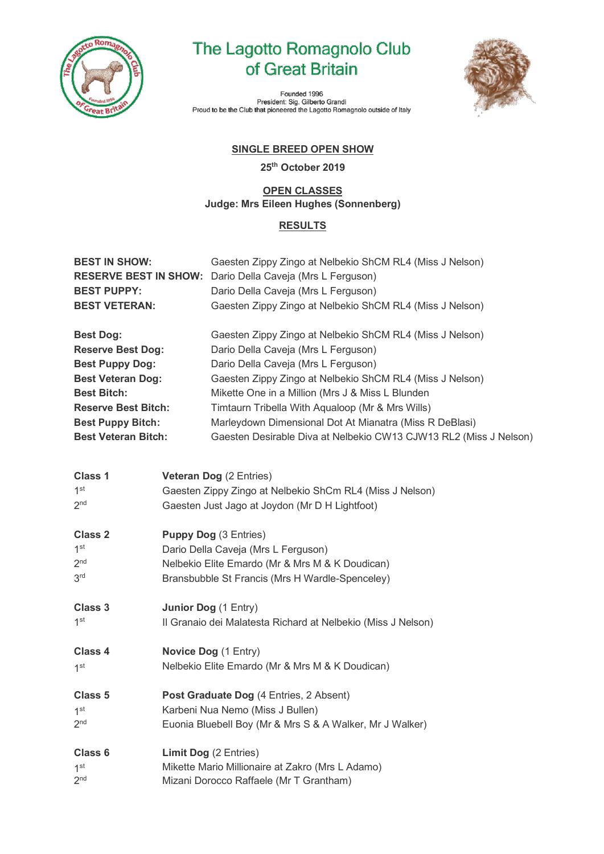

## The Lagotto Romagnolo Club of Great Britain



Founded 1996 Prounded 1990<br>President: Sig. Gilberto Grandi<br>Proud to be the Club that pioneered the Lagotto Romagnolo outside of Italy

## **SINGLE BREED OPEN SHOW**

**25th October 2019**

## **OPEN CLASSES Judge: Mrs Eileen Hughes (Sonnenberg)**

## **RESULTS**

| <b>BEST IN SHOW:</b><br><b>RESERVE BEST IN SHOW:</b><br><b>BEST PUPPY:</b> |                                                              | Gaesten Zippy Zingo at Nelbekio ShCM RL4 (Miss J Nelson)<br>Dario Della Caveja (Mrs L Ferguson)<br>Dario Della Caveja (Mrs L Ferguson) |  |
|----------------------------------------------------------------------------|--------------------------------------------------------------|----------------------------------------------------------------------------------------------------------------------------------------|--|
| <b>BEST VETERAN:</b>                                                       |                                                              | Gaesten Zippy Zingo at Nelbekio ShCM RL4 (Miss J Nelson)                                                                               |  |
| <b>Best Dog:</b>                                                           |                                                              | Gaesten Zippy Zingo at Nelbekio ShCM RL4 (Miss J Nelson)                                                                               |  |
| <b>Reserve Best Dog:</b>                                                   |                                                              | Dario Della Caveja (Mrs L Ferguson)                                                                                                    |  |
| <b>Best Puppy Dog:</b>                                                     |                                                              | Dario Della Caveja (Mrs L Ferguson)                                                                                                    |  |
| <b>Best Veteran Dog:</b>                                                   |                                                              | Gaesten Zippy Zingo at Nelbekio ShCM RL4 (Miss J Nelson)                                                                               |  |
| <b>Best Bitch:</b>                                                         |                                                              | Mikette One in a Million (Mrs J & Miss L Blunden                                                                                       |  |
| <b>Reserve Best Bitch:</b>                                                 |                                                              | Timtaurn Tribella With Aqualoop (Mr & Mrs Wills)                                                                                       |  |
| <b>Best Puppy Bitch:</b>                                                   |                                                              | Marleydown Dimensional Dot At Mianatra (Miss R DeBlasi)                                                                                |  |
| <b>Best Veteran Bitch:</b>                                                 |                                                              | Gaesten Desirable Diva at Nelbekio CW13 CJW13 RL2 (Miss J Nelson)                                                                      |  |
|                                                                            |                                                              |                                                                                                                                        |  |
| <b>Class 1</b><br>1 <sup>st</sup>                                          |                                                              | <b>Veteran Dog (2 Entries)</b>                                                                                                         |  |
| 2 <sub>nd</sub>                                                            |                                                              | Gaesten Zippy Zingo at Nelbekio ShCm RL4 (Miss J Nelson)                                                                               |  |
|                                                                            |                                                              | Gaesten Just Jago at Joydon (Mr D H Lightfoot)                                                                                         |  |
| <b>Class 2</b>                                                             | <b>Puppy Dog (3 Entries)</b>                                 |                                                                                                                                        |  |
| 1 <sup>st</sup>                                                            |                                                              | Dario Della Caveja (Mrs L Ferguson)                                                                                                    |  |
| 2 <sub>nd</sub>                                                            |                                                              | Nelbekio Elite Emardo (Mr & Mrs M & K Doudican)                                                                                        |  |
| 3 <sup>rd</sup>                                                            |                                                              | Bransbubble St Francis (Mrs H Wardle-Spenceley)                                                                                        |  |
|                                                                            |                                                              |                                                                                                                                        |  |
| Class 3                                                                    | Junior Dog (1 Entry)                                         |                                                                                                                                        |  |
| 1 <sup>st</sup>                                                            | Il Granaio dei Malatesta Richard at Nelbekio (Miss J Nelson) |                                                                                                                                        |  |
|                                                                            |                                                              |                                                                                                                                        |  |
| Class 4                                                                    | Novice Dog (1 Entry)                                         |                                                                                                                                        |  |
| 1 <sup>st</sup>                                                            | Nelbekio Elite Emardo (Mr & Mrs M & K Doudican)              |                                                                                                                                        |  |
|                                                                            |                                                              |                                                                                                                                        |  |
| Class 5                                                                    |                                                              | Post Graduate Dog (4 Entries, 2 Absent)                                                                                                |  |
| $1^{\rm st}$                                                               | Karbeni Nua Nemo (Miss J Bullen)                             |                                                                                                                                        |  |
| 2 <sub>nd</sub>                                                            |                                                              | Euonia Bluebell Boy (Mr & Mrs S & A Walker, Mr J Walker)                                                                               |  |
| Class 6                                                                    |                                                              | <b>Limit Dog (2 Entries)</b>                                                                                                           |  |
| 1 <sup>st</sup>                                                            |                                                              | Mikette Mario Millionaire at Zakro (Mrs L Adamo)                                                                                       |  |
| 2 <sup>nd</sup>                                                            |                                                              | Mizani Dorocco Raffaele (Mr T Grantham)                                                                                                |  |
|                                                                            |                                                              |                                                                                                                                        |  |